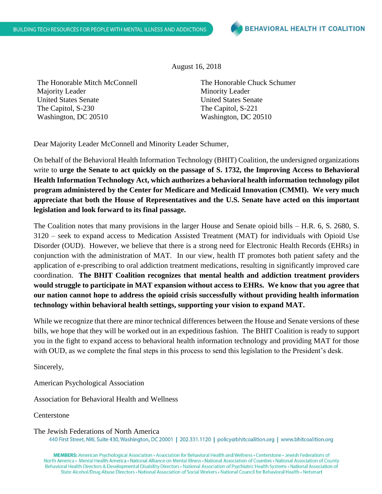August 16, 2018

The Honorable Mitch McConnell Majority Leader United States Senate The Capitol, S-230 Washington, DC 20510

The Honorable Chuck Schumer Minority Leader United States Senate The Capitol, S-221 Washington, DC 20510

Dear Majority Leader McConnell and Minority Leader Schumer,

On behalf of the Behavioral Health Information Technology (BHIT) Coalition, the undersigned organizations write to **urge the Senate to act quickly on the passage of S. 1732, the Improving Access to Behavioral Health Information Technology Act, which authorizes a behavioral health information technology pilot program administered by the Center for Medicare and Medicaid Innovation (CMMI). We very much appreciate that both the House of Representatives and the U.S. Senate have acted on this important legislation and look forward to its final passage.** 

The Coalition notes that many provisions in the larger House and Senate opioid bills – H.R. 6, S. 2680, S. 3120 – seek to expand access to Medication Assisted Treatment (MAT) for individuals with Opioid Use Disorder (OUD). However, we believe that there is a strong need for Electronic Health Records (EHRs) in conjunction with the administration of MAT. In our view, health IT promotes both patient safety and the application of e-prescribing to oral addiction treatment medications, resulting in significantly improved care coordination. **The BHIT Coalition recognizes that mental health and addiction treatment providers would struggle to participate in MAT expansion without access to EHRs. We know that you agree that our nation cannot hope to address the opioid crisis successfully without providing health information technology within behavioral health settings, supporting your vision to expand MAT.**

While we recognize that there are minor technical differences between the House and Senate versions of these bills, we hope that they will be worked out in an expeditious fashion. The BHIT Coalition is ready to support you in the fight to expand access to behavioral health information technology and providing MAT for those with OUD, as we complete the final steps in this process to send this legislation to the President's desk.

Sincerely,

American Psychological Association

Association for Behavioral Health and Wellness

**Centerstone** 

The Jewish Federations of North America 440 First Street, NW, Suite 430, Washington, DC 20001 | 202.331.1120 | policy@bhitcoalition.org | www.bhitcoalition.org

MEMBERS: American Psychological Association · Association for Behavioral Health and Wellness · Centerstone · Jewish Federations of North America • Mental Health America • National Alliance on Mental Illness • National Association of Counties • National Association of County Behavioral Health Directors & Developmental Disability Directors · National Association of Psychiatric Health Systems · National Association of State Alcohol/Drug Abuse Directors • National Association of Social Workers • National Council for Behavioral Health • Netsmart